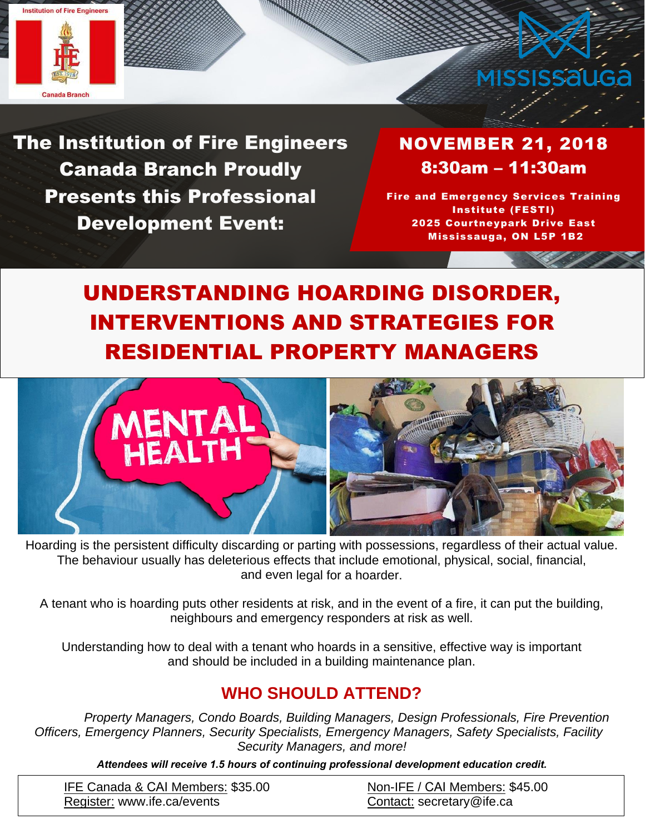



The Institution of Fire Engineers Canada Branch Proudly Presents this Professional Development Event:

NOVEMBER 21, 2018 8:30am – 11:30am

Fire and Emergency Services Training Institute (FESTI) 2025 Courtneypark Drive East Mississauga, ON L5P 1B2

# UNDERSTANDING HOARDING DISORDER, INTERVENTIONS AND STRATEGIES FOR RESIDENTIAL PROPERTY MANAGERS



Hoarding is the persistent difficulty discarding or parting with possessions, regardless of their actual value. The behaviour usually has deleterious effects that include emotional, physical, social, financial, and even legal for a hoarder.

A tenant who is hoarding puts other residents at risk, and in the event of a fire, it can put the building, neighbours and emergency responders at risk as well.

Understanding how to deal with a tenant who hoards in a sensitive, effective way is important and should be included in a building maintenance plan.

## **WHO SHOULD ATTEND?**

 *Property Managers, Condo Boards, Building Managers, Design Professionals, Fire Prevention Officers, Emergency Planners, Security Specialists, Emergency Managers, Safety Specialists, Facility Security Managers, and more!* 

*Attendees will receive 1.5 hours of continuing professional development education credit.*

| IFE Canada & CAI Members: \$35.00 | Non-IFE / CAI Members: \$45.00 |
|-----------------------------------|--------------------------------|
| Register: www.ife.ca/events       | Contact: secretary@ife.ca      |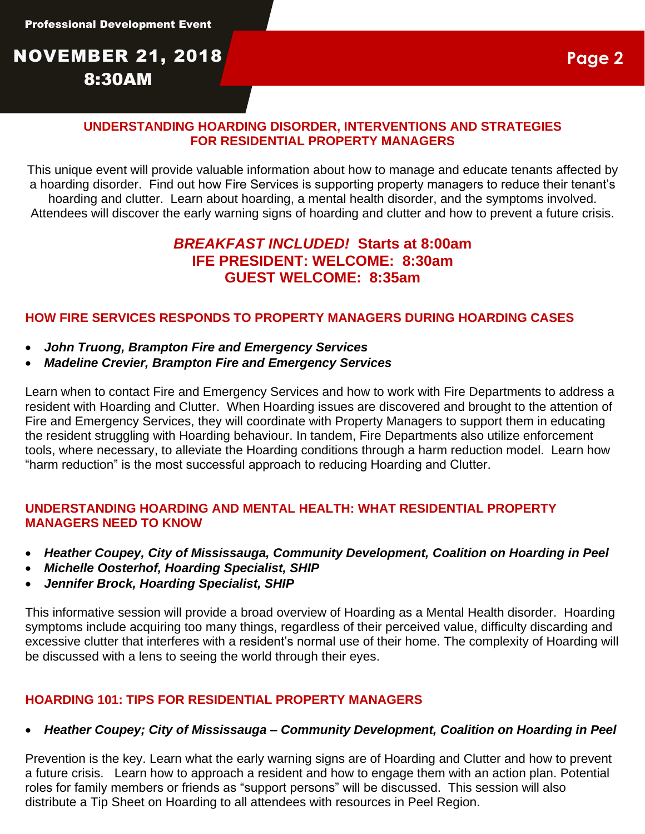# NOVEMBER 21, 2018 8:30AM

#### **UNDERSTANDING HOARDING DISORDER, INTERVENTIONS AND STRATEGIES FOR RESIDENTIAL PROPERTY MANAGERS**

This unique event will provide valuable information about how to manage and educate tenants affected by a hoarding disorder. Find out how Fire Services is supporting property managers to reduce their tenant's hoarding and clutter. Learn about hoarding, a mental health disorder, and the symptoms involved. Attendees will discover the early warning signs of hoarding and clutter and how to prevent a future crisis.

### *BREAKFAST INCLUDED!* **Starts at 8:00am IFE PRESIDENT: WELCOME: 8:30am GUEST WELCOME: 8:35am**

#### **HOW FIRE SERVICES RESPONDS TO PROPERTY MANAGERS DURING HOARDING CASES**

- *John Truong, Brampton Fire and Emergency Services*
- *Madeline Crevier, Brampton Fire and Emergency Services*

Learn when to contact Fire and Emergency Services and how to work with Fire Departments to address a resident with Hoarding and Clutter. When Hoarding issues are discovered and brought to the attention of Fire and Emergency Services, they will coordinate with Property Managers to support them in educating the resident struggling with Hoarding behaviour. In tandem, Fire Departments also utilize enforcement tools, where necessary, to alleviate the Hoarding conditions through a harm reduction model. Learn how "harm reduction" is the most successful approach to reducing Hoarding and Clutter.

#### **UNDERSTANDING HOARDING AND MENTAL HEALTH: WHAT RESIDENTIAL PROPERTY MANAGERS NEED TO KNOW**

- *Heather Coupey, City of Mississauga, Community Development, Coalition on Hoarding in Peel*
- *Michelle Oosterhof, Hoarding Specialist, SHIP*
- *Jennifer Brock, Hoarding Specialist, SHIP*

This informative session will provide a broad overview of Hoarding as a Mental Health disorder. Hoarding symptoms include acquiring too many things, regardless of their perceived value, difficulty discarding and excessive clutter that interferes with a resident's normal use of their home. The complexity of Hoarding will be discussed with a lens to seeing the world through their eyes.

#### **HOARDING 101: TIPS FOR RESIDENTIAL PROPERTY MANAGERS**

#### • *Heather Coupey; City of Mississauga – Community Development, Coalition on Hoarding in Peel*

Prevention is the key. Learn what the early warning signs are of Hoarding and Clutter and how to prevent a future crisis. Learn how to approach a resident and how to engage them with an action plan. Potential roles for family members or friends as "support persons" will be discussed. This session will also distribute a Tip Sheet on Hoarding to all attendees with resources in Peel Region.